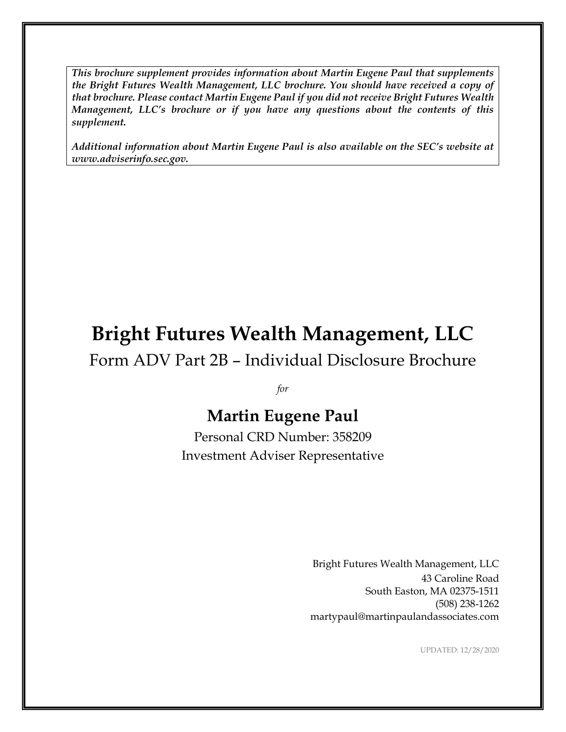*This brochure supplement provides information about Martin Eugene Paul that supplements the Bright Futures Wealth Management, LLC brochure. You should have received a copy of that brochure. Please contact Martin Eugene Paul if you did not receive Bright Futures Wealth Management, LLC's brochure or if you have any questions about the contents of this supplement.*

*Additional information about Martin Eugene Paul is also available on the SEC's website at www.adviserinfo.sec.gov.*

# **Bright Futures Wealth Management, LLC**

Form ADV Part 2B – Individual Disclosure Brochure

*for*

### **Martin Eugene Paul**

Personal CRD Number: 358209 Investment Adviser Representative

> Bright Futures Wealth Management, LLC 43 Caroline Road South Easton, MA 02375-1511 (508) 238-1262 martypaul@martinpaulandassociates.com

> > UPDATED: 12/28/2020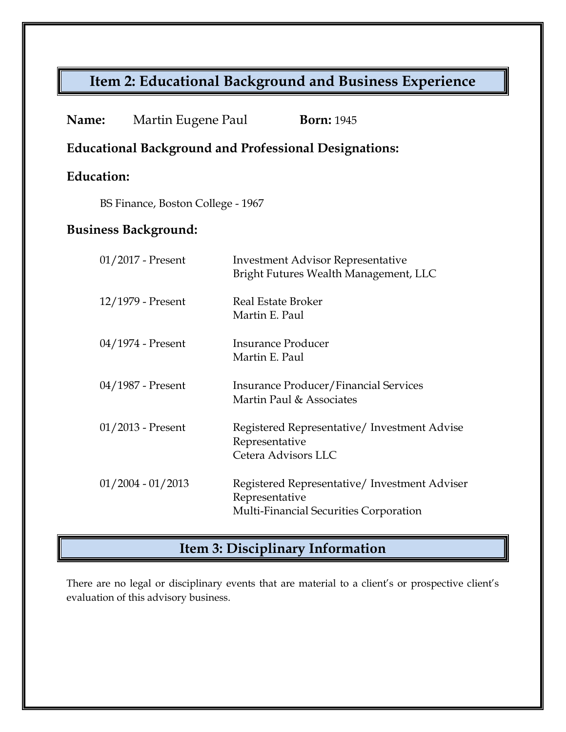# **Item 2: Educational Background and Business Experience**

| Name:                                                        | Martin Eugene Paul  | <b>Born: 1945</b>                                                                                         |
|--------------------------------------------------------------|---------------------|-----------------------------------------------------------------------------------------------------------|
| <b>Educational Background and Professional Designations:</b> |                     |                                                                                                           |
| <b>Education:</b>                                            |                     |                                                                                                           |
| BS Finance, Boston College - 1967                            |                     |                                                                                                           |
| <b>Business Background:</b>                                  |                     |                                                                                                           |
|                                                              | 01/2017 - Present   | <b>Investment Advisor Representative</b><br>Bright Futures Wealth Management, LLC                         |
|                                                              | 12/1979 - Present   | Real Estate Broker<br>Martin E. Paul                                                                      |
|                                                              | 04/1974 - Present   | <b>Insurance Producer</b><br>Martin E. Paul                                                               |
|                                                              | 04/1987 - Present   | Insurance Producer/Financial Services<br>Martin Paul & Associates                                         |
|                                                              | $01/2013$ - Present | Registered Representative/ Investment Advise<br>Representative<br>Cetera Advisors LLC                     |
|                                                              | $01/2004 - 01/2013$ | Registered Representative/ Investment Adviser<br>Representative<br>Multi-Financial Securities Corporation |

## **Item 3: Disciplinary Information**

There are no legal or disciplinary events that are material to a client's or prospective client's evaluation of this advisory business.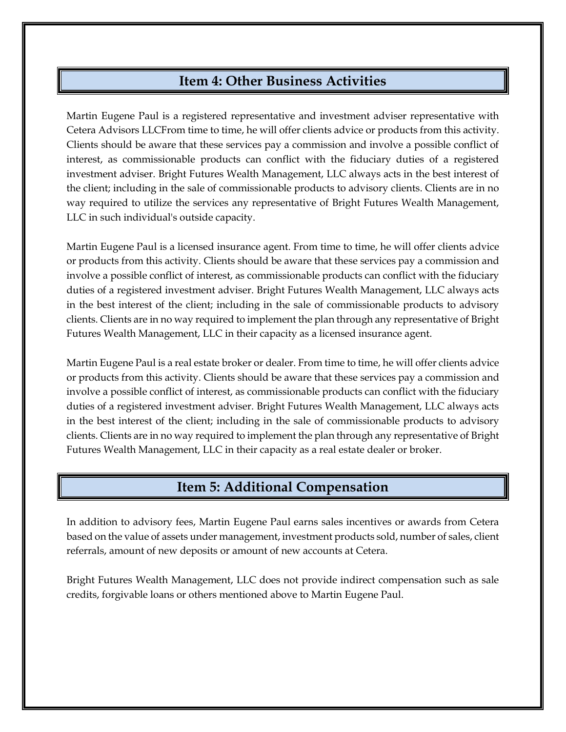#### **Item 4: Other Business Activities**

Martin Eugene Paul is a registered representative and investment adviser representative with Cetera Advisors LLCFrom time to time, he will offer clients advice or products from this activity. Clients should be aware that these services pay a commission and involve a possible conflict of interest, as commissionable products can conflict with the fiduciary duties of a registered investment adviser. Bright Futures Wealth Management, LLC always acts in the best interest of the client; including in the sale of commissionable products to advisory clients. Clients are in no way required to utilize the services any representative of Bright Futures Wealth Management, LLC in such individual's outside capacity.

Martin Eugene Paul is a licensed insurance agent. From time to time, he will offer clients advice or products from this activity. Clients should be aware that these services pay a commission and involve a possible conflict of interest, as commissionable products can conflict with the fiduciary duties of a registered investment adviser. Bright Futures Wealth Management, LLC always acts in the best interest of the client; including in the sale of commissionable products to advisory clients. Clients are in no way required to implement the plan through any representative of Bright Futures Wealth Management, LLC in their capacity as a licensed insurance agent.

Martin Eugene Paul is a real estate broker or dealer. From time to time, he will offer clients advice or products from this activity. Clients should be aware that these services pay a commission and involve a possible conflict of interest, as commissionable products can conflict with the fiduciary duties of a registered investment adviser. Bright Futures Wealth Management, LLC always acts in the best interest of the client; including in the sale of commissionable products to advisory clients. Clients are in no way required to implement the plan through any representative of Bright Futures Wealth Management, LLC in their capacity as a real estate dealer or broker.

#### **Item 5: Additional Compensation**

In addition to advisory fees, Martin Eugene Paul earns sales incentives or awards from Cetera based on the value of assets under management, investment products sold, number of sales, client referrals, amount of new deposits or amount of new accounts at Cetera.

Bright Futures Wealth Management, LLC does not provide indirect compensation such as sale credits, forgivable loans or others mentioned above to Martin Eugene Paul.